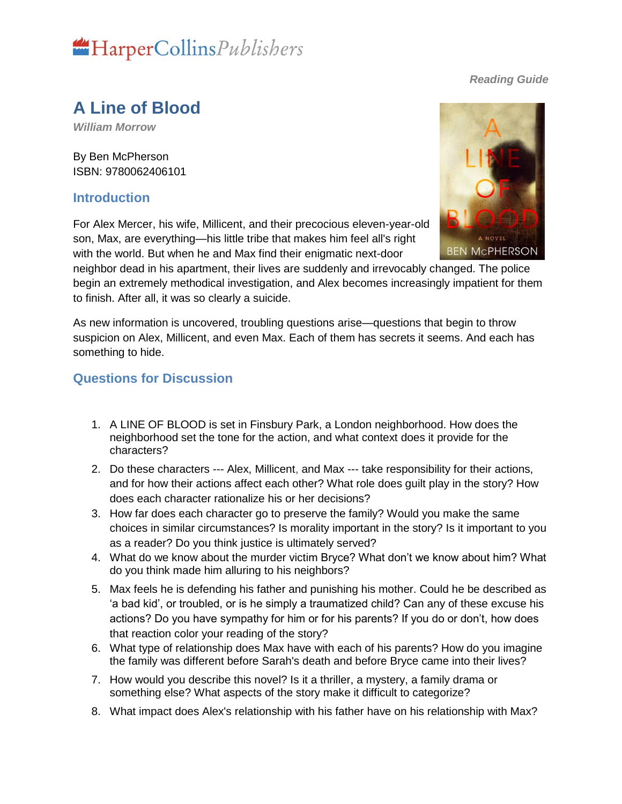# HarperCollinsPublishers

#### *Reading Guide*

### **A Line of Blood**

*William Morrow*

By Ben McPherson ISBN: 9780062406101

#### **Introduction**

For Alex Mercer, his wife, Millicent, and their precocious eleven-year-old son, Max, are everything—his little tribe that makes him feel all's right with the world. But when he and Max find their enigmatic next-door

neighbor dead in his apartment, their lives are suddenly and irrevocably changed. The police begin an extremely methodical investigation, and Alex becomes increasingly impatient for them to finish. After all, it was so clearly a suicide.

As new information is uncovered, troubling questions arise—questions that begin to throw suspicion on Alex, Millicent, and even Max. Each of them has secrets it seems. And each has something to hide.

#### **Questions for Discussion**

- 1. A LINE OF BLOOD is set in Finsbury Park, a London neighborhood. How does the neighborhood set the tone for the action, and what context does it provide for the characters?
- 2. Do these characters --- Alex, Millicent, and Max --- take responsibility for their actions, and for how their actions affect each other? What role does guilt play in the story? How does each character rationalize his or her decisions?
- 3. How far does each character go to preserve the family? Would you make the same choices in similar circumstances? Is morality important in the story? Is it important to you as a reader? Do you think justice is ultimately served?
- 4. What do we know about the murder victim Bryce? What don't we know about him? What do you think made him alluring to his neighbors?
- 5. Max feels he is defending his father and punishing his mother. Could he be described as 'a bad kid', or troubled, or is he simply a traumatized child? Can any of these excuse his actions? Do you have sympathy for him or for his parents? If you do or don't, how does that reaction color your reading of the story?
- 6. What type of relationship does Max have with each of his parents? How do you imagine the family was different before Sarah's death and before Bryce came into their lives?
- 7. How would you describe this novel? Is it a thriller, a mystery, a family drama or something else? What aspects of the story make it difficult to categorize?
- 8. What impact does Alex's relationship with his father have on his relationship with Max?